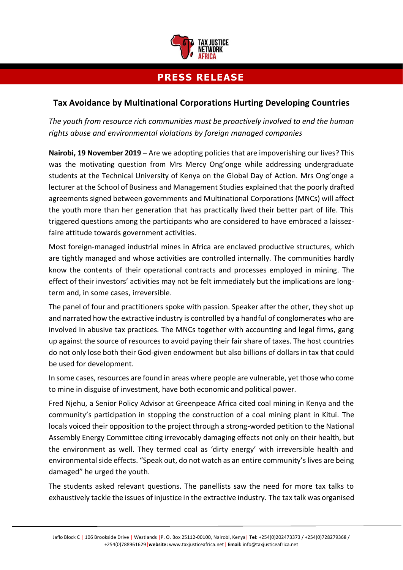

## **PRESS RELEASE**

## **Tax Avoidance by Multinational Corporations Hurting Developing Countries**

*The youth from resource rich communities must be proactively involved to end the human rights abuse and environmental violations by foreign managed companies*

**Nairobi, 19 November 2019 –** Are we adopting policies that are impoverishing our lives? This was the motivating question from Mrs Mercy Ong'onge while addressing undergraduate students at the Technical University of Kenya on the Global Day of Action. Mrs Ong'onge a lecturer at the School of Business and Management Studies explained that the poorly drafted agreements signed between governments and Multinational Corporations (MNCs) will affect the youth more than her generation that has practically lived their better part of life. This triggered questions among the participants who are considered to have embraced a laissezfaire attitude towards government activities.

Most foreign-managed industrial mines in Africa are enclaved productive structures, which are tightly managed and whose activities are controlled internally. The communities hardly know the contents of their operational contracts and processes employed in mining. The effect of their investors' activities may not be felt immediately but the implications are longterm and, in some cases, irreversible.

The panel of four and practitioners spoke with passion. Speaker after the other, they shot up and narrated how the extractive industry is controlled by a handful of conglomerates who are involved in abusive tax practices. The MNCs together with accounting and legal firms, gang up against the source of resources to avoid paying their fair share of taxes. The host countries do not only lose both their God-given endowment but also billions of dollars in tax that could be used for development.

In some cases, resources are found in areas where people are vulnerable, yet those who come to mine in disguise of investment, have both economic and political power.

Fred Njehu, a Senior Policy Advisor at Greenpeace Africa cited coal mining in Kenya and the community's participation in stopping the construction of a coal mining plant in Kitui. The locals voiced their opposition to the project through a strong-worded petition to the National Assembly Energy Committee citing irrevocably damaging effects not only on their health, but the environment as well. They termed coal as 'dirty energy' with irreversible health and environmental side effects. "Speak out, do not watch as an entire community's lives are being damaged" he urged the youth.

The students asked relevant questions. The panellists saw the need for more tax talks to exhaustively tackle the issues of injustice in the extractive industry. The tax talk was organised